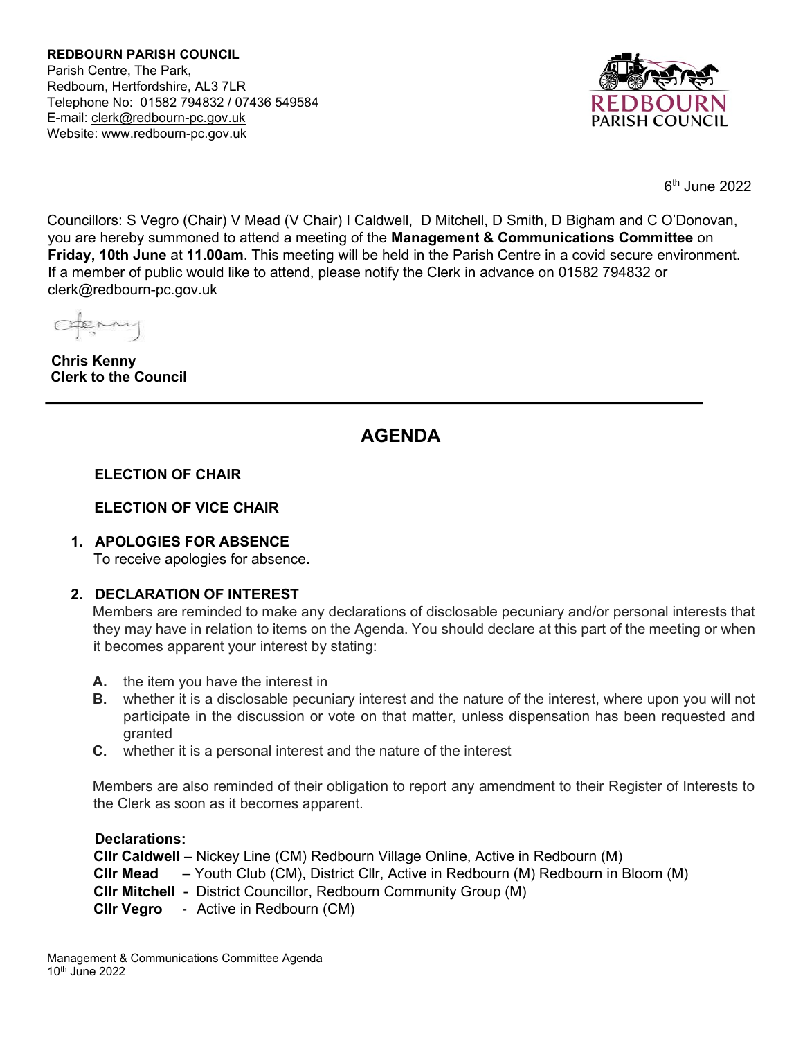**REDBOURN PARISH COUNCIL** Parish Centre, The Park, Redbourn, Hertfordshire, AL3 7LR Telephone No: 01582 794832 / 07436 549584 E-mail: [clerk@redbourn-pc.gov.uk](mailto:clerk@redbourn-pc.gov.uk) Website: www.redbourn-pc.gov.uk



6 th June 2022

Councillors: S Vegro (Chair) V Mead (V Chair) I Caldwell, D Mitchell, D Smith, D Bigham and C O'Donovan, you are hereby summoned to attend a meeting of the **Management & Communications Committee** on **Friday, 10th June** at **11.00am**. This meeting will be held in the Parish Centre in a covid secure environment. If a member of public would like to attend, please notify the Clerk in advance on 01582 794832 or clerk@redbourn-pc.gov.uk

apenny

**Chris Kenny Clerk to the Council** 

# **AGENDA**

# **ELECTION OF CHAIR**

# **ELECTION OF VICE CHAIR**

# **1. APOLOGIES FOR ABSENCE**

To receive apologies for absence.

# **2. DECLARATION OF INTEREST**

Members are reminded to make any declarations of disclosable pecuniary and/or personal interests that they may have in relation to items on the Agenda. You should declare at this part of the meeting or when it becomes apparent your interest by stating:

- **A.** the item you have the interest in
- **B.** whether it is a disclosable pecuniary interest and the nature of the interest, where upon you will not participate in the discussion or vote on that matter, unless dispensation has been requested and granted
- **C.** whether it is a personal interest and the nature of the interest

Members are also reminded of their obligation to report any amendment to their Register of Interests to the Clerk as soon as it becomes apparent.

**Declarations:** 

| <b>CIIr Caldwell</b> – Nickey Line (CM) Redbourn Village Online, Active in Redbourn (M)           |
|---------------------------------------------------------------------------------------------------|
| <b>CIIr Mead</b> $-$ Youth Club (CM), District CIIr, Active in Redbourn (M) Redbourn in Bloom (M) |
| <b>CIIr Mitchell</b> - District Councillor, Redbourn Community Group (M)                          |
| <b>CIIr Vegro</b> - Active in Redbourn (CM)                                                       |